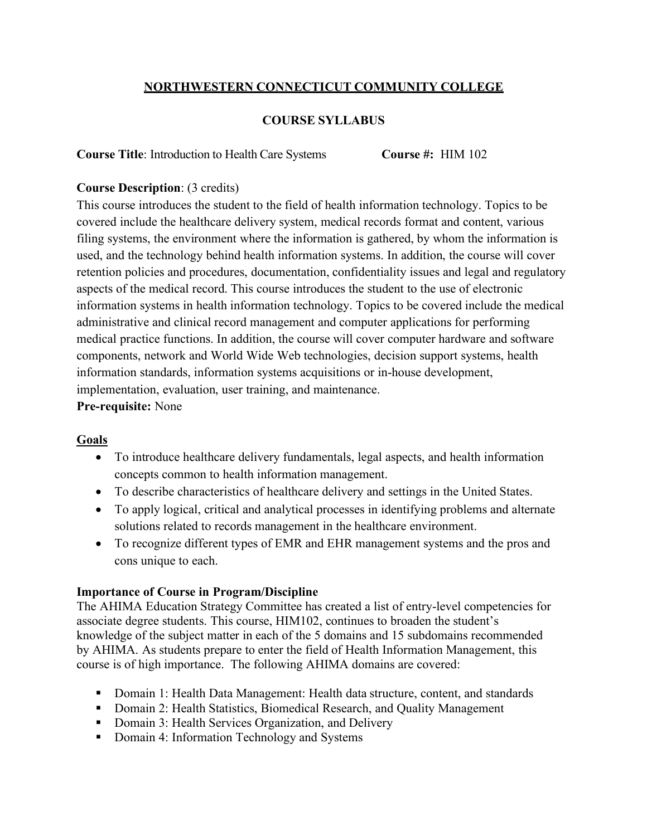# **NORTHWESTERN CONNECTICUT COMMUNITY COLLEGE**

## **COURSE SYLLABUS**

**Course Title**: Introduction to Health Care Systems **Course #:** HIM 102

### **Course Description**: (3 credits)

This course introduces the student to the field of health information technology. Topics to be covered include the healthcare delivery system, medical records format and content, various filing systems, the environment where the information is gathered, by whom the information is used, and the technology behind health information systems. In addition, the course will cover retention policies and procedures, documentation, confidentiality issues and legal and regulatory aspects of the medical record. This course introduces the student to the use of electronic information systems in health information technology. Topics to be covered include the medical administrative and clinical record management and computer applications for performing medical practice functions. In addition, the course will cover computer hardware and software components, network and World Wide Web technologies, decision support systems, health information standards, information systems acquisitions or in-house development, implementation, evaluation, user training, and maintenance.

## **Pre-requisite:** None

#### **Goals**

- To introduce healthcare delivery fundamentals, legal aspects, and health information concepts common to health information management.
- To describe characteristics of healthcare delivery and settings in the United States.
- To apply logical, critical and analytical processes in identifying problems and alternate solutions related to records management in the healthcare environment.
- To recognize different types of EMR and EHR management systems and the pros and cons unique to each.

#### **Importance of Course in Program/Discipline**

The AHIMA Education Strategy Committee has created a list of entry-level competencies for associate degree students. This course, HIM102, continues to broaden the student's knowledge of the subject matter in each of the 5 domains and 15 subdomains recommended by AHIMA. As students prepare to enter the field of Health Information Management, this course is of high importance. The following AHIMA domains are covered:

- Domain 1: Health Data Management: Health data structure, content, and standards
- Domain 2: Health Statistics, Biomedical Research, and Quality Management
- Domain 3: Health Services Organization, and Delivery
- Domain 4: Information Technology and Systems